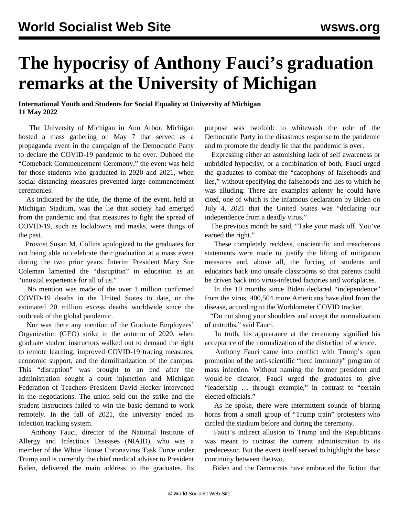## **The hypocrisy of Anthony Fauci's graduation remarks at the University of Michigan**

## **International Youth and Students for Social Equality at University of Michigan 11 May 2022**

 The University of Michigan in Ann Arbor, Michigan hosted a mass gathering on May 7 that served as a propaganda event in the campaign of the Democratic Party to declare the COVID-19 pandemic to be over. Dubbed the "Comeback Commencement Ceremony," the event was held for those students who graduated in 2020 and 2021, when social distancing measures prevented large commencement ceremonies.

 As indicated by the title, the theme of the event, held at Michigan Stadium, was the lie that society had emerged from the pandemic and that measures to fight the spread of COVID-19, such as lockdowns and masks, were things of the past.

 Provost Susan M. Collins apologized to the graduates for not being able to celebrate their graduation at a mass event during the two prior years. Interim President Mary Sue Coleman lamented the "disruption" in education as an "unusual experience for all of us."

 No mention was made of the over 1 million confirmed COVID-19 deaths in the United States to date, or the estimated 20 million excess deaths worldwide since the outbreak of the global pandemic.

 Nor was there any mention of the Graduate Employees' Organization (GEO) [strike](/en/articles/2020/09/26/uofm-s26.html) in the autumn of 2020, when graduate student instructors walked out to demand the right to remote learning, improved COVID-19 tracing measures, economic support, and the demilitarization of the campus. This "disruption" was brought to an end after the administration sought a court injunction and Michigan Federation of Teachers President David Hecker intervened in the negotiations. The union sold out the strike and the student instructors failed to win the basic demand to work remotely. In the fall of 2021, the university [ended](/en/articles/2021/09/20/mich-s20.html) its infection tracking system.

 Anthony Fauci, director of the National Institute of Allergy and Infectious Diseases (NIAID), who was a member of the White House Coronavirus Task Force under Trump and is currently the chief medical adviser to President Biden, delivered the main address to the graduates. Its

purpose was twofold: to whitewash the role of the Democratic Party in the disastrous response to the pandemic and to promote the deadly lie that the pandemic is over.

 Expressing either an astonishing lack of self awareness or unbridled hypocrisy, or a combination of both, Fauci urged the graduates to combat the "cacophony of falsehoods and lies," without specifying the falsehoods and lies to which he was alluding. There are examples aplenty he could have cited, one of which is the infamous declaration by Biden on July 4, 2021 that the United States was "declaring our independence from a deadly virus."

 The previous month he said, "Take your mask off. You've earned the right."

 These completely reckless, unscientific and treacherous statements were made to justify the lifting of mitigation measures and, above all, the forcing of students and educators back into unsafe classrooms so that parents could be driven back into virus-infected factories and workplaces.

 In the 10 months since Biden declared "independence" from the virus, 400,504 more Americans have died from the disease, according to the Worldometer COVID tracker.

 "Do not shrug your shoulders and accept the normalization of untruths," said Fauci.

 In truth, his appearance at the ceremony signified his acceptance of the normalization of the distortion of science.

 Anthony Fauci came into conflict with Trump's open promotion of the anti-scientific "herd immunity" program of mass infection. Without naming the former president and would-be dictator, Fauci urged the graduates to give "leadership … through example," in contrast to "certain elected officials."

 As he spoke, there were intermittent sounds of blaring horns from a small group of "Trump train" protesters who circled the stadium before and during the ceremony.

 Fauci's indirect allusion to Trump and the Republicans was meant to contrast the current administration to its predecessor. But the event itself served to highlight the basic continuity between the two.

Biden and the Democrats have embraced the fiction that